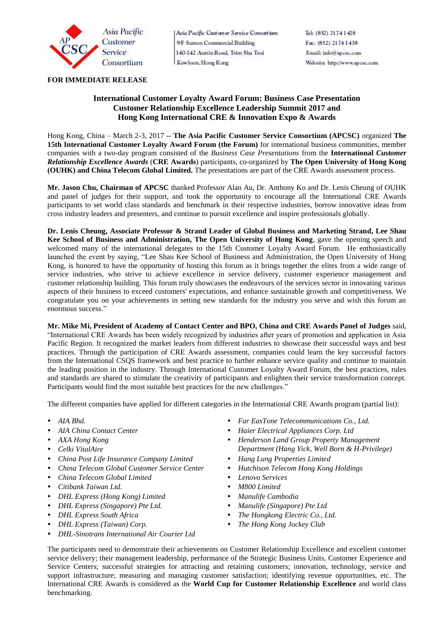

Asia Pacific Custaner Service Consortium 9/F Surson Commercial Building 140-142 Austin Road, Tsim Sha Tsui Kowloon, Hong Kong

Tel: (852) 2174 1428 Fax: (852) 2174 1438 Email: info@apese.com Website: http://www.apcsc.com

## **FOR IMMEDIATE RELEASE**

# **International Customer Loyalty Award Forum: Business Case Presentation Customer Relationship Excellence Leadership Summit 2017 and Hong Kong International CRE & Innovation Expo & Awards**

Hong Kong, China – March 2-3, 2017 -- **The Asia Pacific Customer Service Consortium (APCSC)** organized **The 15th International Customer Loyalty Award Forum (the Forum)** for international business communities, member companies with a two-day program consisted of the *Business Case Presentations* from the **International** *Customer Relationship Excellence Awards* (**CRE Awards**) participants, co-organized by **The Open University of Hong Kong (OUHK) and China Telecom Global Limited.** The presentations are part of the CRE Awards assessment process.

**Mr. Jason Chu, Chairman of APCSC** thanked Professor Alan Au, Dr. Anthony Ko and Dr. Lenis Cheung of OUHK and panel of judges for their support, and took the opportunity to encourage all the International CRE Awards participants to set world class standards and benchmark in their respective industries, borrow innovative ideas from cross industry leaders and presenters, and continue to pursuit excellence and inspire professionals globally.

**Dr. Lenis Cheung, Associate Professor & Strand Leader of Global Business and Marketing Strand, Lee Shau Kee School of Business and Administration, The Open University of Hong Kong**, gave the opening speech and welcomed many of the international delegates to the 15th Customer Loyalty Award Forum. He enthusiastically launched the event by saying, "Lee Shau Kee School of Business and Administration, the Open University of Hong Kong, is honored to have the opportunity of hosting this forum as it brings together the elites from a wide range of service industries, who strive to achieve excellence in service delivery, customer experience management and customer relationship building. This forum truly showcases the endeavours of the services sector in innovating various aspects of their business to exceed customers' expectations, and enhance sustainable growth and competitiveness. We congratulate you on your achievements in setting new standards for the industry you serve and wish this forum an enormous success."

**Mr. Mike Mi, President of Academy of Contact Center and BPO, China and CRE Awards Panel of Judges** said, "International CRE Awards has been widely recognized by industries after years of promotion and application in Asia Pacific Region. It recognized the market leaders from different industries to showcase their successful ways and best practices. Through the participation of CRE Awards assessment, companies could learn the key successful factors from the International CSQS framework and best practice to further enhance service quality and continue to maintain the leading position in the industry. Through International Customer Loyalty Award Forum, the best practices, rules and standards are shared to stimulate the creativity of participants and enlighten their service transformation concept. Participants would find the most suitable best practices for the new challenges."

The different companies have applied for different categories in the International CRE Awards program (partial list):

- 
- 
- 
- 
- *China Post Life Insurance Company Limited Hang Lung Properties Limited*
- *China Telecom Global Customer Service Center Hutchison Telecom Hong Kong Holdings*
- *China Telecom Global Limited Lenovo Services*
- *Citibank Taiwan Ltd. M800 Limited*
- *DHL Express (Hong Kong) Limited Manulife Cambodia*
- *DHL Express (Singapore) Pte Ltd. Manulife (Singapore) Pte Ltd*
- 
- *DHL Express (Taiwan) Corp. The Hong Kong Jockey Club*
- *DHL-Sinotrans International Air Courier Ltd*
- *AIA Bhd. Far EasTone Telecommunications Co., Ltd.*
- *AIA China Contact Center Haier Electrical Appliances Corp. Ltd*
- *AXA Hong Kong Henderson Land Group Property Management Celki VitalAire Department (Hang Yick, Well Born & H-Privilege)*
	-
	-
	-
	-
	-
	-
- *DHL Express South Africa The Hongkong Electric Co., Ltd.*
	-

The participants need to demonstrate their achievements on Customer Relationship Excellence and excellent customer service delivery; their management leadership, performance of the Strategic Business Units, Customer Experience and Service Centers; successful strategies for attracting and retaining customers; innovation, technology, service and support infrastructure; measuring and managing customer satisfaction; identifying revenue opportunities, etc. The International CRE Awards is considered as the **World Cup for Customer Relationship Excellence** and world class benchmarking.